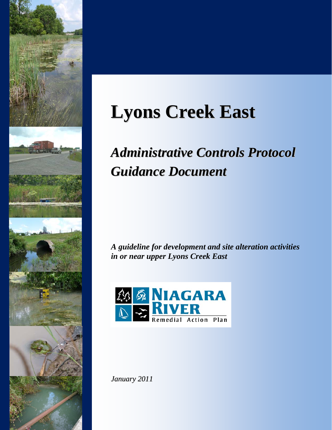

# **Lyons Creek East**

## *Administrative Controls Protocol Guidance Document*

*A guideline for development and site alteration activities in or near upper Lyons Creek East* 



*January 2011*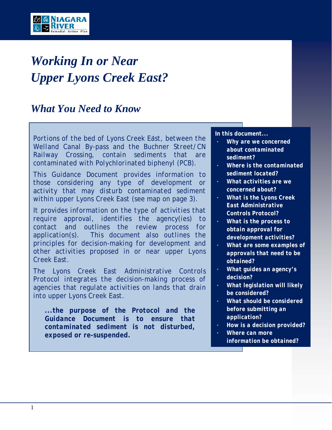

## *Working In or Near Upper Lyons Creek East?*

## *What You Need to Know*

*Portions of the bed of Lyons Creek East, between the Welland Canal By-pass and the Buchner Street/CN Railway Crossing, contain sediments that are contaminated with Polychlorinated biphenyl (PCB).* 

*This Guidance Document provides information to those considering any type of development or activity that may disturb contaminated sediment within upper Lyons Creek East (see map on page 3).* 

*It provides information on the type of activities that require approval, identifies the agency(ies) to contact and outlines the review process for application(s). This document also outlines the principles for decision-making for development and other activities proposed in or near upper Lyons Creek East.* 

*The Lyons Creek East Administrative Controls Protocol integrates the decision-making process of agencies that regulate activities on lands that drain into upper Lyons Creek East.* 

*...the purpose of the Protocol and the Guidance Document is to ensure that contaminated sediment is not disturbed, exposed or re-suspended.* 

#### *. In this document...*

- *Why are we concerned about contaminated sediment?*
- *Where is the contaminated sediment located?*
- *What activities are we concerned about?*
- *What is the Lyons Creek East Administrative Controls Protocol?*
- *What is the process to obtain approval for development activities?*
- *What are some examples of approvals that need to be obtained?*
- *What guides an agency's decision?*
- *What legislation will likely be considered?*
- *What should be considered before submitting an application?*
- *How is a decision provided?*
- *Where can more information be obtained?*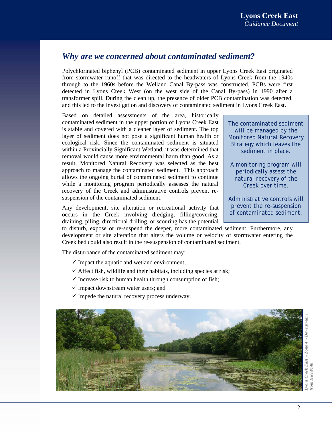## *Why are we concerned about contaminated sediment?*

Polychlorinated biphenyl (PCB) contaminated sediment in upper Lyons Creek East originated from stormwater runoff that was directed to the headwaters of Lyons Creek from the 1940s through to the 1960s before the Welland Canal By-pass was constructed. PCBs were first detected in Lyons Creek West (on the west side of the Canal By-pass) in 1990 after a transformer spill. During the clean up, the presence of older PCB contamination was detected, and this led to the investigation and discovery of contaminated sediment in Lyons Creek East.

Based on detailed assessments of the area, historically contaminated sediment in the upper portion of Lyons Creek East is stable and covered with a cleaner layer of sediment. The top layer of sediment does not pose a significant human health or ecological risk. Since the contaminated sediment is situated within a Provincially Significant Wetland, it was determined that removal would cause more environmental harm than good. As a result, Monitored Natural Recovery was selected as the best approach to manage the contaminated sediment. This approach allows the ongoing burial of contaminated sediment to continue while a monitoring program periodically assesses the natural recovery of the Creek and administrative controls prevent resuspension of the contaminated sediment.

Any development, site alteration or recreational activity that occurs in the Creek involving dredging, filling/covering, draining, piling, directional drilling, or scouring has the potential

to disturb, expose or re-suspend the deeper, more contaminated sediment. Furthermore, any development or site alteration that alters the volume or velocity of stormwater entering the Creek bed could also result in the re-suspension of contaminated sediment.

The disturbance of the contaminated sediment may:

- $\checkmark$  Impact the aquatic and wetland environment;
- $\checkmark$  Affect fish, wildlife and their habitats, including species at risk;
- $\checkmark$  Increase risk to human health through consumption of fish;
- $\checkmark$  Impact downstream water users; and
- $\checkmark$  Impede the natural recovery process underway.



*The contaminated sediment will be managed by the Monitored Natural Recovery Strategy which leaves the sediment in place.* 

*A monitoring program will periodically assess the natural recovery of the Creek over time.* 

*Administrative controls will prevent the re-suspension of contaminated sediment.*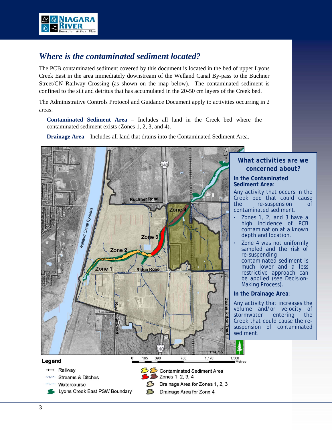

## *Where is the contaminated sediment located?*

The PCB contaminated sediment covered by this document is located in the bed of upper Lyons Creek East in the area immediately downstream of the Welland Canal By-pass to the Buchner Street/CN Railway Crossing (as shown on the map below). The contaminated sediment is confined to the silt and detritus that has accumulated in the 20-50 cm layers of the Creek bed.

The Administrative Controls Protocol and Guidance Document apply to activities occurring in 2 areas:

**Contaminated Sediment Area** – Includes all land in the Creek bed where the contaminated sediment exists (Zones 1, 2, 3, and 4).

**Drainage Area** – Includes all land that drains into the Contaminated Sediment Area.

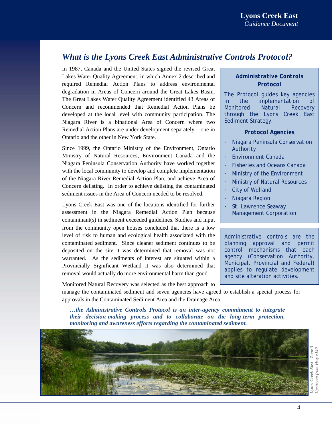## *What is the Lyons Creek East Administrative Controls Protocol?*

In 1987, Canada and the United States signed the revised Great Lakes Water Quality Agreement, in which Annex 2 described and required Remedial Action Plans to address environmental degradation in Areas of Concern around the Great Lakes Basin. The Great Lakes Water Quality Agreement identified 43 Areas of Concern and recommended that Remedial Action Plans be developed at the local level with community participation. The Niagara River is a binational Area of Concern where two Remedial Action Plans are under development separately – one in Ontario and the other in New York State.

Since 1999, the Ontario Ministry of the Environment, Ontario Ministry of Natural Resources, Environment Canada and the Niagara Peninsula Conservation Authority have worked together with the local community to develop and complete implementation of the Niagara River Remedial Action Plan, and achieve Area of Concern delisting. In order to achieve delisting the contaminated sediment issues in the Area of Concern needed to be resolved.

Lyons Creek East was one of the locations identified for further assessment in the Niagara Remedial Action Plan because contaminant(s) in sediment exceeded guidelines. Studies and input from the community open houses concluded that there is a low level of risk to human and ecological health associated with the contaminated sediment. Since cleaner sediment continues to be deposited on the site it was determined that removal was not warranted. As the sediments of interest are situated within a Provincially Significant Wetland it was also determined that removal would actually do more environmental harm than good.

Monitored Natural Recovery was selected as the best approach to

#### *Administrative Controls Protocol*

The Protocol guides key agencies in the implementation of Monitored Natural Recovery through the Lyons Creek East Sediment Strategy.

#### *Protocol Agencies*

- Niagara Peninsula Conservation Authority
- Environment Canada
- Fisheries and Oceans Canada
- Ministry of the Environment
- Ministry of Natural Resources
- City of Welland
- Niagara Region
- St. Lawrence Seaway Management Corporation

Administrative controls are the planning approval and permit control mechanisms that each agency (Conservation Authority, Municipal, Provincial and Federal) applies to regulate development and site alteration activities.

manage the contaminated sediment and seven agencies have agreed to establish a special process for approvals in the Contaminated Sediment Area and the Drainage Area.

*…the Administrative Controls Protocol is an inter-agency commitment to integrate their decision-making process and to collaborate on the long-term protection, monitoring and awareness efforts regarding the contaminated sediment.* 

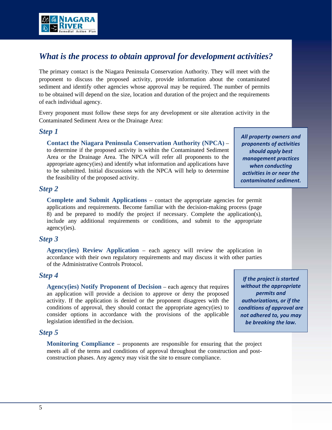

## *What is the process to obtain approval for development activities?*

The primary contact is the Niagara Peninsula Conservation Authority. They will meet with the proponent to discuss the proposed activity, provide information about the contaminated sediment and identify other agencies whose approval may be required. The number of permits to be obtained will depend on the size, location and duration of the project and the requirements of each individual agency.

Every proponent must follow these steps for any development or site alteration activity in the Contaminated Sediment Area or the Drainage Area:

#### *Step 1*

**Contact the Niagara Peninsula Conservation Authority (NPCA)** – to determine if the proposed activity is within the Contaminated Sediment Area or the Drainage Area. The NPCA will refer all proponents to the appropriate agency(ies) and identify what information and applications have to be submitted. Initial discussions with the NPCA will help to determine the feasibility of the proposed activity.

*All property owners and proponents of activities should apply best management practices when conducting activities in or near the contaminated sediment.*

### *Step 2*

**Complete and Submit Applications** – contact the appropriate agencies for permit applications and requirements. Become familiar with the decision-making process (page 8) and be prepared to modify the project if necessary. Complete the application(s), include any additional requirements or conditions, and submit to the appropriate agency(ies).

#### *Step 3*

**Agency(ies) Review Application** – each agency will review the application in accordance with their own regulatory requirements and may discuss it with other parties of the Administrative Controls Protocol.

#### *Step 4*

**Agency(ies) Notify Proponent of Decision** – each agency that requires an application will provide a decision to approve or deny the proposed activity. If the application is denied or the proponent disagrees with the conditions of approval, they should contact the appropriate agency(ies) to consider options in accordance with the provisions of the applicable legislation identified in the decision.

*If the project is started without the appropriate permits and authorizations, or if the conditions of approval are not adhered to, you may be breaking the law.*

### *Step 5*

**Monitoring Compliance** – proponents are responsible for ensuring that the project meets all of the terms and conditions of approval throughout the construction and postconstruction phases. Any agency may visit the site to ensure compliance.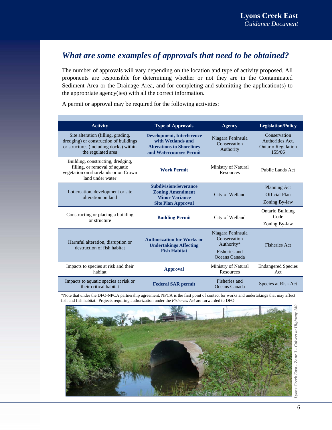## *What are some examples of approvals that need to be obtained?*

The number of approvals will vary depending on the location and type of activity proposed. All proponents are responsible for determining whether or not they are in the Contaminated Sediment Area or the Drainage Area, and for completing and submitting the application(s) to the appropriate agency(ies) with all the correct information.

A permit or approval may be required for the following activities:

| <b>Activity</b>                                                                                                                              | <b>Type of Approvals</b>                                                                                             | <b>Agency</b>                                                                     | <b>Legislation/Policy</b>                                               |
|----------------------------------------------------------------------------------------------------------------------------------------------|----------------------------------------------------------------------------------------------------------------------|-----------------------------------------------------------------------------------|-------------------------------------------------------------------------|
| Site alteration (filling, grading,<br>dredging) or construction of buildings<br>or structures (including docks) within<br>the regulated area | <b>Development, Interference</b><br>with Wetlands and<br><b>Alterations to Shorelines</b><br>and Watercourses Permit | Niagara Peninsula<br>Conservation<br>Authority                                    | Conservation<br>Authorities Act,<br><b>Ontario Regulation</b><br>155/06 |
| Building, constructing, dredging,<br>filling, or removal of aquatic<br>vegetation on shorelands or on Crown<br>land under water              | <b>Work Permit</b>                                                                                                   | Ministry of Natural<br><b>Resources</b>                                           | Public Lands Act                                                        |
| Lot creation, development or site<br>alteration on land                                                                                      | <b>Subdivision/Severance</b><br><b>Zoning Amendment</b><br><b>Minor Variance</b><br><b>Site Plan Approval</b>        | City of Welland                                                                   | Planning Act<br><b>Official Plan</b><br>Zoning By-law                   |
| Constructing or placing a building<br>or structure                                                                                           | <b>Building Permit</b>                                                                                               | City of Welland                                                                   | <b>Ontario Building</b><br>Code<br>Zoning By-law                        |
| Harmful alteration, disruption or<br>destruction of fish habitat                                                                             | <b>Authorization for Works or</b><br><b>Undertakings Affecting</b><br><b>Fish Habitat</b>                            | Niagara Peninsula<br>Conservation<br>Authority*<br>Fisheries and<br>Oceans Canada | <b>Fisheries Act</b>                                                    |
| Impacts to species at risk and their<br>habitat                                                                                              | <b>Approval</b>                                                                                                      | Ministry of Natural<br><b>Resources</b>                                           | <b>Endangered Species</b><br>Act                                        |
| Impacts to aquatic species at risk or<br>their critical habitat                                                                              | <b>Federal SAR permit</b>                                                                                            | Fisheries and<br>Oceans Canada                                                    | Species at Risk Act                                                     |

\*Note that under the DFO-NPCA partnership agreement, NPCA is the first point of contact for works and undertakings that may affect fish and fish habitat. Projects requiring authorization under the *Fisheries Act* are forwarded to DFO.

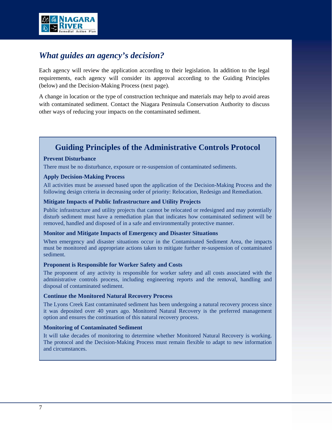

## *What guides an agency's decision?*

Each agency will review the application according to their legislation. In addition to the legal requirements, each agency will consider its approval according to the Guiding Principles (below) and the Decision-Making Process (next page).

A change in location or the type of construction technique and materials may help to avoid areas with contaminated sediment. Contact the Niagara Peninsula Conservation Authority to discuss other ways of reducing your impacts on the contaminated sediment.

## **Guiding Principles of the Administrative Controls Protocol**

#### **Prevent Disturbance**

There must be no disturbance, exposure or re-suspension of contaminated sediments.

#### **Apply Decision-Making Process**

All activities must be assessed based upon the application of the Decision-Making Process and the following design criteria in decreasing order of priority: Relocation, Redesign and Remediation.

#### **Mitigate Impacts of Public Infrastructure and Utility Projects**

Public infrastructure and utility projects that cannot be relocated or redesigned and may potentially disturb sediment must have a remediation plan that indicates how contaminated sediment will be removed, handled and disposed of in a safe and environmentally protective manner.

#### **Monitor and Mitigate Impacts of Emergency and Disaster Situations**

When emergency and disaster situations occur in the Contaminated Sediment Area, the impacts must be monitored and appropriate actions taken to mitigate further re-suspension of contaminated sediment.

#### **Proponent is Responsible for Worker Safety and Costs**

The proponent of any activity is responsible for worker safety and all costs associated with the administrative controls process, including engineering reports and the removal, handling and disposal of contaminated sediment.

#### **Continue the Monitored Natural Recovery Process**

The Lyons Creek East contaminated sediment has been undergoing a natural recovery process since it was deposited over 40 years ago. Monitored Natural Recovery is the preferred management option and ensures the continuation of this natural recovery process.

#### **Monitoring of Contaminated Sediment**

It will take decades of monitoring to determine whether Monitored Natural Recovery is working. The protocol and the Decision-Making Process must remain flexible to adapt to new information and circumstances.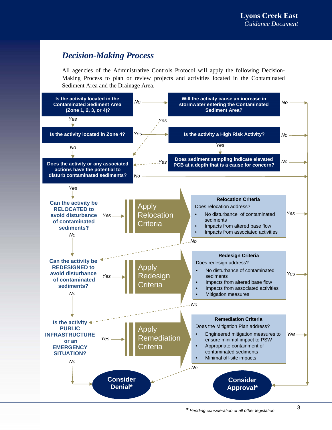## *Decision-Making Process*

All agencies of the Administrative Controls Protocol will apply the following Decision-Making Process to plan or review projects and activities located in the Contaminated Sediment Area and the Drainage Area.

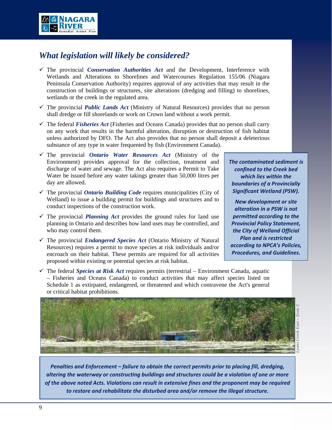

## *What legislation will likely be considered?*

- $\checkmark$  The provincial *Conservation Authorities Act* and the Development, Interference with Wetlands and Alterations to Shorelines and Watercourses Regulation 155/06 (Niagara Peninsula Conservation Authority) requires approval of any activities that may result in the construction of buildings or structures, site alterations (dredging and filling) to shorelines, wetlands or the creek in the regulated area.
- $\checkmark$  The provincial *Public Lands Act* (Ministry of Natural Resources) provides that no person shall dredge or fill shorelands or work on Crown land without a work permit.
- $\checkmark$  The federal *Fisheries Act* (Fisheries and Oceans Canada) provides that no person shall carry on any work that results in the harmful alteration, disruption or destruction of fish habitat unless authorized by DFO. The Act also provides that no person shall deposit a deleterious substance of any type in water frequented by fish (Environment Canada).
- The provincial *Ontario Water Resources Act* (Ministry of the Environment) provides approval for the collection, treatment and discharge of water and sewage. The Act also requires a Permit to Take Water be issued before any water takings greater than 50,000 litres per day are allowed.
- The provincial *Ontario Building Code* requires municipalities (City of Welland) to issue a building permit for buildings and structures and to conduct inspections of the construction work.
- $\checkmark$  The provincial *Planning Act* provides the ground rules for land use planning in Ontario and describes how land uses may be controlled, and who may control them.
- $\checkmark$  The provincial *Endangered Species Act* (Ontario Ministry of Natural Resources) requires a permit to move species at risk individuals and/or encroach on their habitat. These permits are required for all activities proposed within existing or potential species at risk habitat.
- $\checkmark$  The federal *Species at Risk Act* requires permits (terrestrial Environment Canada, aquatic – Fisheries and Oceans Canada) to conduct activities that may affect species listed on Schedule 1 as extirpated, endangered, or threatened and which contravene the Act's general or critical habitat prohibitions.



*Lyons Creek East – Zone 3* 

*The contaminated sediment is confined to the Creek bed which lies within the boundaries of a Provincially Significant Wetland (PSW). New development or site alteration in a PSW is not permitted according to the Provincial Policy Statement, the City of Welland Official Plan and is restricted according to NPCA's Policies, Procedures, and Guidelines.*

*Penalties and Enforcement – failure to obtain the correct permits prior to placing fill, dredging, altering the waterway or constructing buildings and structures could be a violation of one or more of the above noted Acts. Violations can result in extensive fines and the proponent may be required to restore and rehabilitate the disturbed area and/or remove the illegal structure.*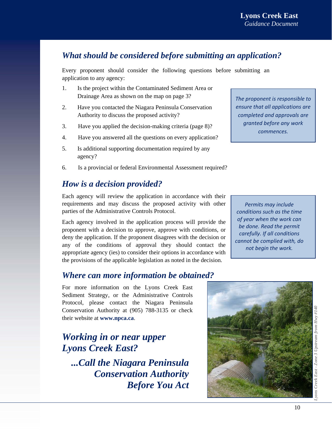## *What should be considered before submitting an application?*

Every proponent should consider the following questions before submitting an application to any agency:

- 1. Is the project within the Contaminated Sediment Area or Drainage Area as shown on the map on page 3?
- 2. Have you contacted the Niagara Peninsula Conservation Authority to discuss the proposed activity?
- 3. Have you applied the decision-making criteria (page 8)?
- 4. Have you answered all the questions on every application?
- 5. Is additional supporting documentation required by any agency?
- 6. Is a provincial or federal Environmental Assessment required?

## *How is a decision provided?*

Each agency will review the application in accordance with their requirements and may discuss the proposed activity with other parties of the Administrative Controls Protocol.

Each agency involved in the application process will provide the proponent with a decision to approve, approve with conditions, or deny the application. If the proponent disagrees with the decision or any of the conditions of approval they should contact the appropriate agency (ies) to consider their options in accordance with the provisions of the applicable legislation as noted in the decision.

## *Where can more information be obtained?*

For more information on the Lyons Creek East Sediment Strategy, or the Administrative Controls Protocol, please contact the Niagara Peninsula Conservation Authority at (905) 788-3135 or check their website at **www.npca.ca**.

## *Working in or near upper Lyons Creek East?*

*...Call the Niagara Peninsula Conservation Authority Before You Act*  *The proponent is responsible to ensure that all applications are completed and approvals are granted before any work commences.*

*Permits may include conditions such as the time of year when the work can be done. Read the permit carefully. If all conditions cannot be complied with, do not begin the work.*



*Lyons Creek East - Zone 3 Upstream from Hwy #140*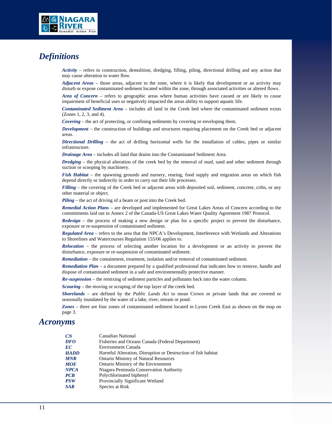

### *Definitions*

*Activity* – refers to construction, demolition, dredging, filling, piling, directional drilling and any action that may cause alteration to water flow.

*Adjacent Areas* – those areas, adjacent to the zone, where it is likely that development or an activity may disturb or expose contaminated sediment located within the zone, through associated activities or altered flows.

*Area of Concern* – refers to geographic areas where human activities have caused or are likely to cause impairment of beneficial uses or negatively impacted the areas ability to support aquatic life.

*Contaminated Sediment Area* – includes all land in the Creek bed where the contaminated sediment exists (Zones 1, 2, 3, and 4).

*Covering* – the act of protecting, or confining sediments by covering or enveloping them.

*Development* – the construction of buildings and structures requiring placement on the Creek bed or adjacent areas.

*Directional Drilling –* the act of drilling horizontal wells for the installation of cables, pipes or similar infrastructure.

*Drainage Area* – includes all land that drains into the Contaminated Sediment Area.

*Dredging* – the physical alteration of the creek bed by the removal of mud, sand and other sediment through suction or scooping by machinery.

*Fish Habitat* – the spawning grounds and nursery, rearing, food supply and migration areas on which fish depend directly or indirectly in order to carry out their life processes.

*Filling* – the covering of the Creek bed or adjacent areas with deposited soil, sediment, concrete, cribs, or any other material or object.

*Piling* – the act of driving of a beam or post into the Creek bed.

*Remedial Action Plans* – are developed and implemented for Great Lakes Areas of Concern according to the commitments laid out in Annex 2 of the Canada-US Great Lakes Water Quality Agreement 1987 Protocol.

*Redesign* – the process of making a new design or plan for a specific project to prevent the disturbance, exposure or re-suspension of contaminated sediment.

*Regulated Area* – refers to the area that the NPCA's Development, Interference with Wetlands and Alterations to Shorelines and Watercourses Regulation 155/06 applies to.

*Relocation* – the process of selecting another location for a development or an activity to prevent the disturbance, exposure or re-suspension of contaminated sediment.

*Remediation* – the containment, treatment, isolation and/or removal of contaminated sediment.

*Remediation Plan* – a document prepared by a qualified professional that indicates how to remove, handle and dispose of contaminated sediment in a safe and environmentally protective manner.

*Re-suspension* – the remixing of sediment particles and pollutants back into the water column.

*Scouring* – the moving or scraping of the top layer of the creek bed.

*Shorelands* – are defined by the *Public Lands Act* to mean Crown or private lands that are covered or seasonally inundated by the water of a lake, river, stream or pond.

*Zones* – there are four zones of contaminated sediment located in Lyons Creek East as shown on the map on page 3.

#### *Acronyms*

| Harmful Alteration, Disruption or Destruction of fish habitat |
|---------------------------------------------------------------|
|                                                               |
|                                                               |
|                                                               |
|                                                               |
|                                                               |
|                                                               |
|                                                               |